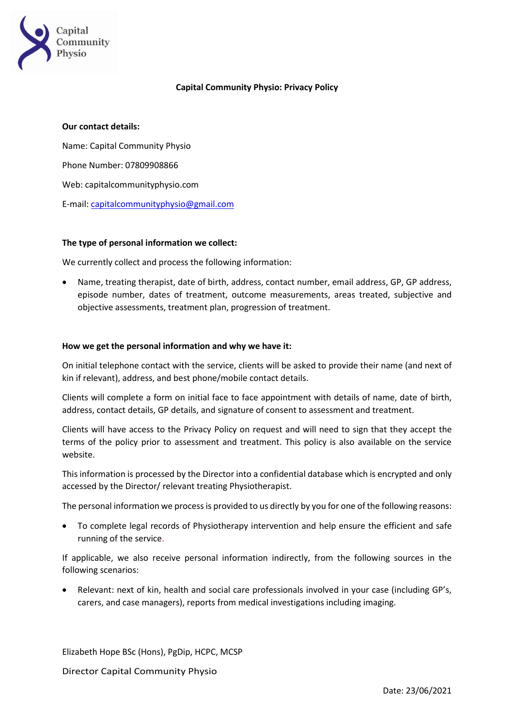

# **Capital Community Physio: Privacy Policy**

## **Our contact details:**

Name: Capital Community Physio Phone Number: 07809908866 Web: capitalcommunityphysio.com E-mail: [capitalcommunityphysio@gmail.com](mailto:capitalcommunityphysio@gmail.com)

#### **The type of personal information we collect:**

We currently collect and process the following information:

• Name, treating therapist, date of birth, address, contact number, email address, GP, GP address, episode number, dates of treatment, outcome measurements, areas treated, subjective and objective assessments, treatment plan, progression of treatment.

#### **How we get the personal information and why we have it:**

On initial telephone contact with the service, clients will be asked to provide their name (and next of kin if relevant), address, and best phone/mobile contact details.

Clients will complete a form on initial face to face appointment with details of name, date of birth, address, contact details, GP details, and signature of consent to assessment and treatment.

Clients will have access to the Privacy Policy on request and will need to sign that they accept the terms of the policy prior to assessment and treatment. This policy is also available on the service website.

This information is processed by the Director into a confidential database which is encrypted and only accessed by the Director/ relevant treating Physiotherapist.

The personal information we process is provided to us directly by you for one of the following reasons:

• To complete legal records of Physiotherapy intervention and help ensure the efficient and safe running of the service.

If applicable, we also receive personal information indirectly, from the following sources in the following scenarios:

• Relevant: next of kin, health and social care professionals involved in your case (including GP's, carers, and case managers), reports from medical investigations including imaging.

Elizabeth Hope BSc (Hons), PgDip, HCPC, MCSP

Director Capital Community Physio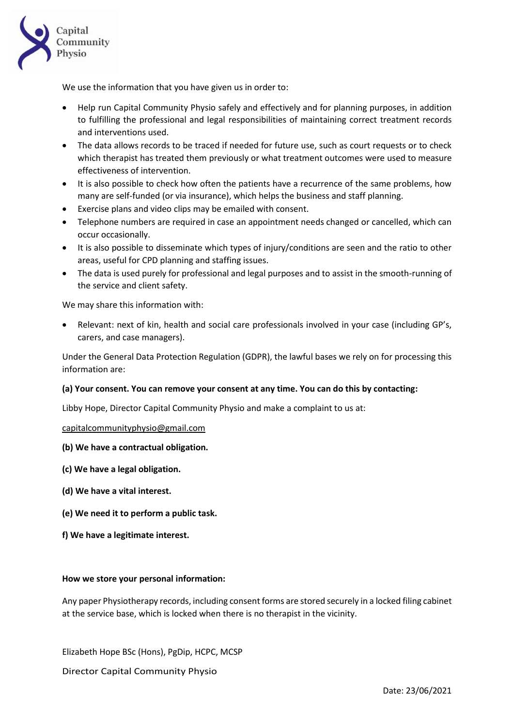

We use the information that you have given us in order to:

- Help run Capital Community Physio safely and effectively and for planning purposes, in addition to fulfilling the professional and legal responsibilities of maintaining correct treatment records and interventions used.
- The data allows records to be traced if needed for future use, such as court requests or to check which therapist has treated them previously or what treatment outcomes were used to measure effectiveness of intervention.
- It is also possible to check how often the patients have a recurrence of the same problems, how many are self-funded (or via insurance), which helps the business and staff planning.
- Exercise plans and video clips may be emailed with consent.
- Telephone numbers are required in case an appointment needs changed or cancelled, which can occur occasionally.
- It is also possible to disseminate which types of injury/conditions are seen and the ratio to other areas, useful for CPD planning and staffing issues.
- The data is used purely for professional and legal purposes and to assist in the smooth-running of the service and client safety.

We may share this information with:

Relevant: next of kin, health and social care professionals involved in your case (including GP's, carers, and case managers).

Under the General Data Protection Regulation (GDPR), the lawful bases we rely on for processing this information are:

## **(a) Your consent. You can remove your consent at any time. You can do this by contacting:**

Libby Hope, Director Capital Community Physio and make a complaint to us at:

[capitalcommunityphysio@gmail.com](mailto:capitalcommunityphysio@gmail.com)

## **(b) We have a contractual obligation.**

- **(c) We have a legal obligation.**
- **(d) We have a vital interest.**
- **(e) We need it to perform a public task.**
- **f) We have a legitimate interest.**

#### **How we store your personal information:**

Any paper Physiotherapy records, including consent forms are stored securely in a locked filing cabinet at the service base, which is locked when there is no therapist in the vicinity.

Elizabeth Hope BSc (Hons), PgDip, HCPC, MCSP

Director Capital Community Physio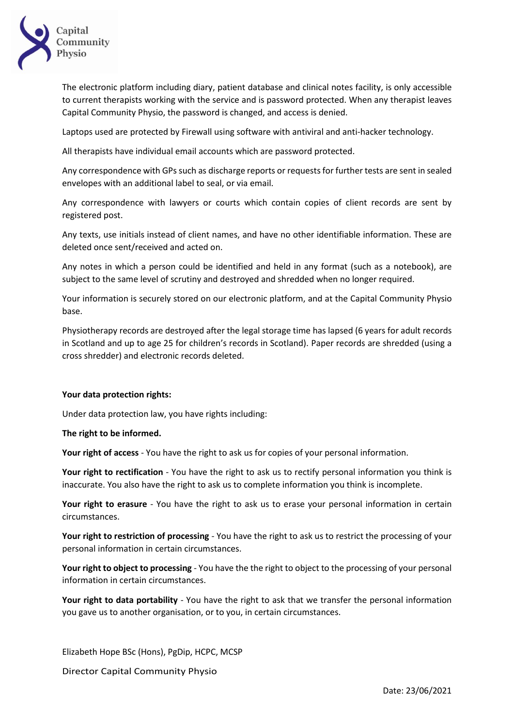

The electronic platform including diary, patient database and clinical notes facility, is only accessible to current therapists working with the service and is password protected. When any therapist leaves Capital Community Physio, the password is changed, and access is denied.

Laptops used are protected by Firewall using software with antiviral and anti-hacker technology.

All therapists have individual email accounts which are password protected.

Any correspondence with GPs such as discharge reports or requests for further tests are sent in sealed envelopes with an additional label to seal, or via email.

Any correspondence with lawyers or courts which contain copies of client records are sent by registered post.

Any texts, use initials instead of client names, and have no other identifiable information. These are deleted once sent/received and acted on.

Any notes in which a person could be identified and held in any format (such as a notebook), are subject to the same level of scrutiny and destroyed and shredded when no longer required.

Your information is securely stored on our electronic platform, and at the Capital Community Physio base.

Physiotherapy records are destroyed after the legal storage time has lapsed (6 years for adult records in Scotland and up to age 25 for children's records in Scotland). Paper records are shredded (using a cross shredder) and electronic records deleted.

## **Your data protection rights:**

Under data protection law, you have rights including:

## **The right to be informed.**

**Your right of access** - You have the right to ask us for copies of your personal information.

**Your right to rectification** - You have the right to ask us to rectify personal information you think is inaccurate. You also have the right to ask us to complete information you think is incomplete.

**Your right to erasure** - You have the right to ask us to erase your personal information in certain circumstances.

**Your right to restriction of processing** - You have the right to ask us to restrict the processing of your personal information in certain circumstances.

**Your right to object to processing** - You have the the right to object to the processing of your personal information in certain circumstances.

**Your right to data portability** - You have the right to ask that we transfer the personal information you gave us to another organisation, or to you, in certain circumstances.

Elizabeth Hope BSc (Hons), PgDip, HCPC, MCSP

Director Capital Community Physio